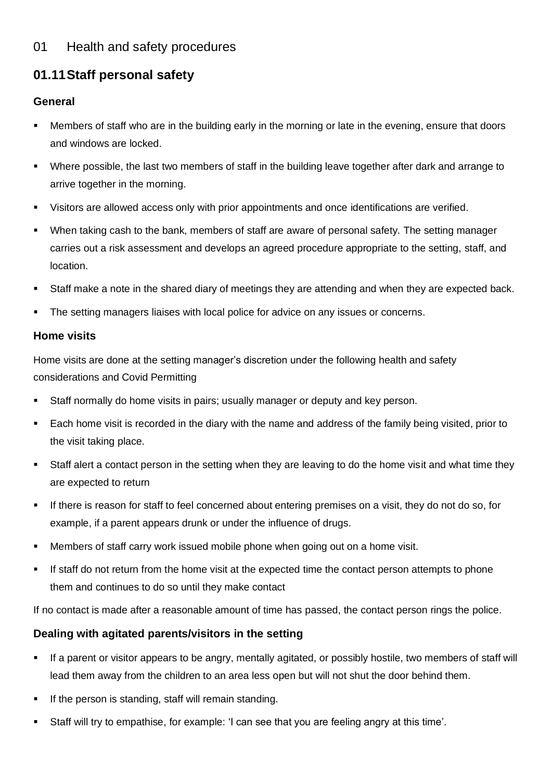## 01 Health and safety procedures

# **01.11Staff personal safety**

#### **General**

- Members of staff who are in the building early in the morning or late in the evening, ensure that doors and windows are locked.
- Where possible, the last two members of staff in the building leave together after dark and arrange to arrive together in the morning.
- Visitors are allowed access only with prior appointments and once identifications are verified.
- When taking cash to the bank, members of staff are aware of personal safety. The setting manager carries out a risk assessment and develops an agreed procedure appropriate to the setting, staff, and location.
- Staff make a note in the shared diary of meetings they are attending and when they are expected back.
- The setting managers liaises with local police for advice on any issues or concerns.

#### **Home visits**

Home visits are done at the setting manager's discretion under the following health and safety considerations and Covid Permitting

- **EXECT:** Staff normally do home visits in pairs; usually manager or deputy and key person.
- Each home visit is recorded in the diary with the name and address of the family being visited, prior to the visit taking place.
- Staff alert a contact person in the setting when they are leaving to do the home visit and what time they are expected to return
- If there is reason for staff to feel concerned about entering premises on a visit, they do not do so, for example, if a parent appears drunk or under the influence of drugs.
- Members of staff carry work issued mobile phone when going out on a home visit.
- **EXT** If staff do not return from the home visit at the expected time the contact person attempts to phone them and continues to do so until they make contact

If no contact is made after a reasonable amount of time has passed, the contact person rings the police.

### **Dealing with agitated parents/visitors in the setting**

- If a parent or visitor appears to be angry, mentally agitated, or possibly hostile, two members of staff will lead them away from the children to an area less open but will not shut the door behind them.
- If the person is standing, staff will remain standing.
- Staff will try to empathise, for example: 'I can see that you are feeling angry at this time'.